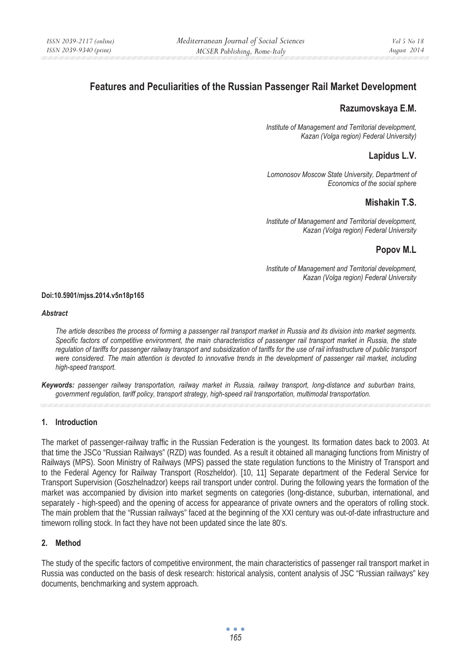# **Features and Peculiarities of the Russian Passenger Rail Market Development**

## **Razumovskaya E.M.**

*Institute of Management and Territorial development, Kazan (Volga region) Federal University)* 

# **Lapidus L.V.**

*Lomonosov Moscow State University, Department of Economics of the social sphere* 

## **Mishakin T.S.**

*Institute of Management and Territorial development, Kazan (Volga region) Federal University* 

## **Popov M.L**

 *Institute of Management and Territorial development, Kazan (Volga region) Federal University* 

#### **Doi:10.5901/mjss.2014.v5n18p165**

#### *Abstract*

*The article describes the process of forming a passenger rail transport market in Russia and its division into market segments. Specific factors of competitive environment, the main characteristics of passenger rail transport market in Russia, the state regulation of tariffs for passenger railway transport and subsidization of tariffs for the use of rail infrastructure of public transport were considered. The main attention is devoted to innovative trends in the development of passenger rail market, including high-speed transport.* 

*Keywords: passenger railway transportation, railway market in Russia, railway transport, long-distance and suburban trains, government regulation, tariff policy, transport strategy, high-speed rail transportation, multimodal transportation.* 

### **1. Introduction**

The market of passenger-railway traffic in the Russian Federation is the youngest. Its formation dates back to 2003. At that time the JSCo "Russian Railways" (RZD) was founded. As a result it obtained all managing functions from Ministry of Railways (MPS). Soon Ministry of Railways (MPS) passed the state regulation functions to the Ministry of Transport and to the Federal Agency for Railway Transport (Roszheldor). [10, 11] Separate department of the Federal Service for Transport Supervision (Goszhelnadzor) keeps rail transport under control. During the following years the formation of the market was accompanied by division into market segments on categories (long-distance, suburban, international, and separately - high-speed) and the opening of access for appearance of private owners and the operators of rolling stock. The main problem that the "Russian railways" faced at the beginning of the XXI century was out-of-date infrastructure and timeworn rolling stock. In fact they have not been updated since the late 80's.

## **2. Method**

The study of the specific factors of competitive environment, the main characteristics of passenger rail transport market in Russia was conducted on the basis of desk research: historical analysis, content analysis of JSC "Russian railways" key documents, benchmarking and system approach.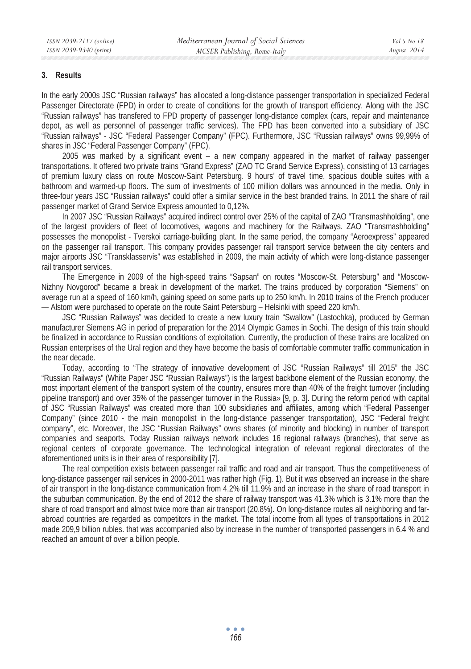### **3. Results**

In the early 2000s JSC "Russian railways" has allocated a long-distance passenger transportation in specialized Federal Passenger Directorate (FPD) in order to create of conditions for the growth of transport efficiency. Along with the JSC "Russian railways" has transfered to FPD property of passenger long-distance complex (cars, repair and maintenance depot, as well as personnel of passenger traffic services). The FPD has been converted into a subsidiary of JSC "Russian railways" - JSC "Federal Passenger Company" (FPC). Furthermore, JSC "Russian railways" owns 99,99% of shares in JSC "Federal Passenger Company" (FPC).

2005 was marked by a significant event – a new company appeared in the market of railway passenger transportations. It offered two private trains "Grand Express" (ZAO TC Grand Service Express), consisting of 13 carriages of premium luxury class on route Moscow-Saint Petersburg. 9 hours' of travel time, spacious double suites with a bathroom and warmed-up floors. The sum of investments of 100 million dollars was announced in the media. Only in three-four years JSC "Russian railways" could offer a similar service in the best branded trains. In 2011 the share of rail passenger market of Grand Service Express amounted to 0,12%.

In 2007 JSC "Russian Railways" acquired indirect control over 25% of the capital of ZAO "Transmashholding", one of the largest providers of fleet of locomotives, wagons and machinery for the Railways. ZAO "Transmashholding" possesses the monopolist - Tverskoi carriage-building plant. In the same period, the company "Aeroexpress" appeared on the passenger rail transport. This company provides passenger rail transport service between the city centers and major airports JSC "Transklasservis" was established in 2009, the main activity of which were long-distance passenger rail transport services.

The Emergence in 2009 of the high-speed trains "Sapsan" on routes "Moscow-St. Petersburg" and "Moscow-Nizhny Novgorod" became a break in development of the market. The trains produced by corporation "Siemens" on average run at a speed of 160 km/h, gaining speed on some parts up to 250 km/h. In 2010 trains of the French producer — Alstom were purchased to operate on the route Saint Petersburg – Helsinki with speed 220 km/h.

JSC "Russian Railways" was decided to create a new luxury train "Swallow" (Lastochka), produced by German manufacturer Siemens AG in period of preparation for the 2014 Olympic Games in Sochi. The design of this train should be finalized in accordance to Russian conditions of exploitation. Currently, the production of these trains are localized on Russian enterprises of the Ural region and they have become the basis of comfortable commuter traffic communication in the near decade.

Today, according to "The strategy of innovative development of JSC "Russian Railways" till 2015" the JSC "Russian Railways" (White Paper JSC "Russian Railways") is the largest backbone element of the Russian economy, the most important element of the transport system of the country, ensures more than 40% of the freight turnover (including pipeline transport) and over 35% of the passenger turnover in the Russia» [9, p. 3]. During the reform period with capital of JSC "Russian Railways" was created more than 100 subsidiaries and affiliates, among which "Federal Passenger Company" (since 2010 - the main monopolist in the long-distance passenger transportation), JSC "Federal freight company", etc. Moreover, the JSC "Russian Railways" owns shares (of minority and blocking) in number of transport companies and seaports. Today Russian railways network includes 16 regional railways (branches), that serve as regional centers of corporate governance. The technological integration of relevant regional directorates of the aforementioned units is in their area of responsibility [7].

The real competition exists between passenger rail traffic and road and air transport. Thus the competitiveness of long-distance passenger rail services in 2000-2011 was rather high (Fig. 1). But it was observed an increase in the share of air transport in the long-distance communication from 4.2% till 11.9% and an increase in the share of road transport in the suburban communication. By the end of 2012 the share of railway transport was 41.3% which is 3.1% more than the share of road transport and almost twice more than air transport (20.8%). On long-distance routes all neighboring and farabroad countries are regarded as competitors in the market. The total income from all types of transportations in 2012 made 209,9 billion rubles. that was accompanied also by increase in the number of transported passengers in 6.4 % and reached an amount of over a billion people.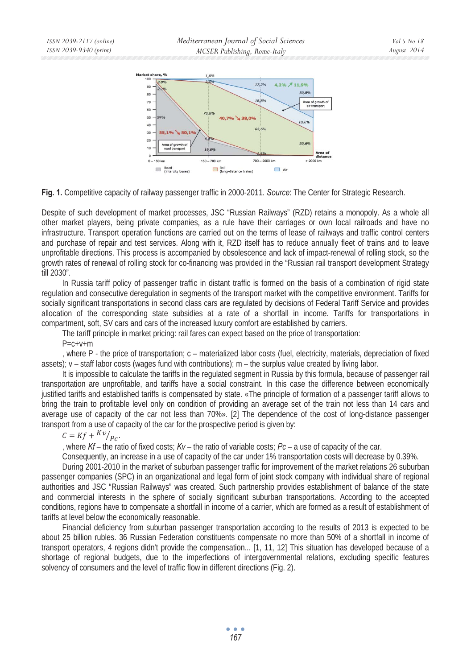

**Fig. 1.** Competitive capacity of railway passenger traffic in 2000-2011. *Source*: The Center for Strategic Research.

Despite of such development of market processes, JSC "Russian Railways" (RZD) retains a monopoly. As a whole all other market players, being private companies, as a rule have their carriages or own local railroads and have no infrastructure. Transport operation functions are carried out on the terms of lease of railways and traffic control centers and purchase of repair and test services. Along with it, RZD itself has to reduce annually fleet of trains and to leave unprofitable directions. This process is accompanied by obsolescence and lack of impact-renewal of rolling stock, so the growth rates of renewal of rolling stock for co-financing was provided in the "Russian rail transport development Strategy till 2030".

In Russia tariff policy of passenger traffic in distant traffic is formed on the basis of a combination of rigid state regulation and consecutive deregulation in segments of the transport market with the competitive environment. Tariffs for socially significant transportations in second class cars are regulated by decisions of Federal Tariff Service and provides allocation of the corresponding state subsidies at a rate of a shortfall in income. Tariffs for transportations in compartment, soft, SV cars and cars of the increased luxury comfort are established by carriers.

The tariff principle in market pricing: rail fares can expect based on the price of transportation:

 $P=C+V+m$ 

, where  $P$  - the price of transportation;  $c$  – materialized labor costs (fuel, electricity, materials, depreciation of fixed assets); v – staff labor costs (wages fund with contributions); m – the surplus value created by living labor.

It is impossible to calculate the tariffs in the regulated segment in Russia by this formula, because of passenger rail transportation are unprofitable, and tariffs have a social constraint. In this case the difference between economically justified tariffs and established tariffs is compensated by state. «The principle of formation of a passenger tariff allows to bring the train to profitable level only on condition of providing an average set of the train not less than 14 cars and average use of capacity of the car not less than 70%». [2] The dependence of the cost of long-distance passenger transport from a use of capacity of the car for the prospective period is given by:

# $C = Kf + \frac{Kv}{Pc}$ .

, where *Kf* – the ratio of fixed costs; *Kv* – the ratio of variable costs; *Ɋc* – a use of capacity of the car.

Consequently, an increase in a use of capacity of the car under 1% transportation costs will decrease by 0.39%.

During 2001-2010 in the market of suburban passenger traffic for improvement of the market relations 26 suburban passenger companies (SPC) in an organizational and legal form of joint stock company with individual share of regional authorities and JSC "Russian Railways" was created. Such partnership provides establishment of balance of the state and commercial interests in the sphere of socially significant suburban transportations. According to the accepted conditions, regions have to compensate a shortfall in income of a carrier, which are formed as a result of establishment of tariffs at level below the economically reasonable.

Financial deficiency from suburban passenger transportation according to the results of 2013 is expected to be about 25 billion rubles. 36 Russian Federation constituents compensate no more than 50% of a shortfall in income of transport operators, 4 regions didn't provide the compensation... [1, 11, 12] This situation has developed because of a shortage of regional budgets, due to the imperfections of intergovernmental relations, excluding specific features solvency of consumers and the level of traffic flow in different directions (Fig. 2).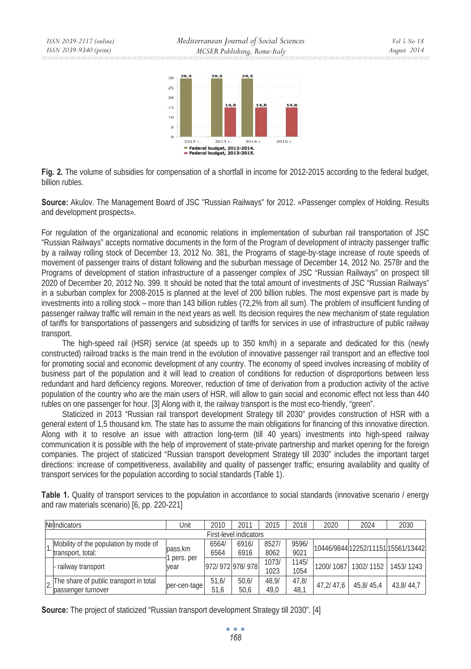

**Fig. 2.** The volume of subsidies for compensation of a shortfall in income for 2012-2015 according to the federal budget, billion rubles.

**Source:** Akulov. The Management Board of JSC "Russian Railways" for 2012. «Passenger complex of Holding. Results and development prospects».

For regulation of the organizational and economic relations in implementation of suburban rail transportation of JSC "Russian Railways" accepts normative documents in the form of the Program of development of intracity passenger traffic by a railway rolling stock of December 13, 2012 No. 381, the Programs of stage-by-stage increase of route speeds of movement of passenger trains of distant following and the suburban message of December 14, 2012 No. 2578r and the Programs of development of station infrastructure of a passenger complex of JSC "Russian Railways" on prospect till 2020 of December 20, 2012 No. 399. It should be noted that the total amount of investments of JSC "Russian Railways" in a suburban complex for 2008-2015 is planned at the level of 200 billion rubles. The most expensive part is made by investments into a rolling stock – more than 143 billion rubles (72,2% from all sum). The problem of insufficient funding of passenger railway traffic will remain in the next years as well. Its decision requires the new mechanism of state regulation of tariffs for transportations of passengers and subsidizing of tariffs for services in use of infrastructure of public railway transport.

The high-speed rail (HSR) service (at speeds up to 350 km/h) in a separate and dedicated for this (newly constructed) railroad tracks is the main trend in the evolution of innovative passenger rail transport and an effective tool for promoting social and economic development of any country. The economy of speed involves increasing of mobility of business part of the population and it will lead to creation of conditions for reduction of disproportions between less redundant and hard deficiency regions. Moreover, reduction of time of derivation from a production activity of the active population of the country who are the main users of HSR, will allow to gain social and economic effect not less than 440 rubles on one passenger for hour. [3] Along with it, the railway transport is the most eco-friendly, "green".

Staticized in 2013 "Russian rail transport development Strategy till 2030" provides construction of HSR with a general extent of 1,5 thousand km. The state has to assume the main obligations for financing of this innovative direction. Along with it to resolve an issue with attraction long-term (till 40 years) investments into high-speed railway communication it is possible with the help of improvement of state-private partnership and market opening for the foreign companies. The project of staticized "Russian transport development Strategy till 2030" includes the important target directions: increase of competitiveness, availability and quality of passenger traffic; ensuring availability and quality of transport services for the population according to social standards (Table 1).

**Table 1.** Quality of transport services to the population in accordance to social standards (innovative scenario / energy and raw materials scenario) [6, pp. 220-221]

| Nollndicators                 |  |                                        | Unit              | 2010  | 2011            | 2015  | 2018  | 2020      | 2024      | 2030                               |
|-------------------------------|--|----------------------------------------|-------------------|-------|-----------------|-------|-------|-----------|-----------|------------------------------------|
| <b>First-level indicators</b> |  |                                        |                   |       |                 |       |       |           |           |                                    |
|                               |  | Mobility of the population by mode of  |                   | 6564/ | 6916/           | 8527/ | 9596/ |           |           | 10446/9844 12252/11151 15561/13442 |
|                               |  | transport, total:                      | pass.km           | 6564  | 6916            | 8062  | 9021  |           |           |                                    |
|                               |  | - railway transport                    | pers. per<br>vear |       | 972/972 978/978 | 1073/ | 1145/ | 1200/1087 | 1302/1152 | 1453/1243                          |
|                               |  |                                        |                   |       |                 | 1023  | 1054  |           |           |                                    |
|                               |  | The share of public transport in total | per-cen-tage      | 51.6/ | 50.6/           | 48.9/ | 47.8/ | 47.2/47.6 | 45.8/45.4 | 43.8/44.7                          |
|                               |  | passenger turnover                     |                   | 51.6  | 50,6            | 49.0  | 48,1  |           |           |                                    |

**Source:** The project of staticized "Russian transport development Strategy till 2030". [4]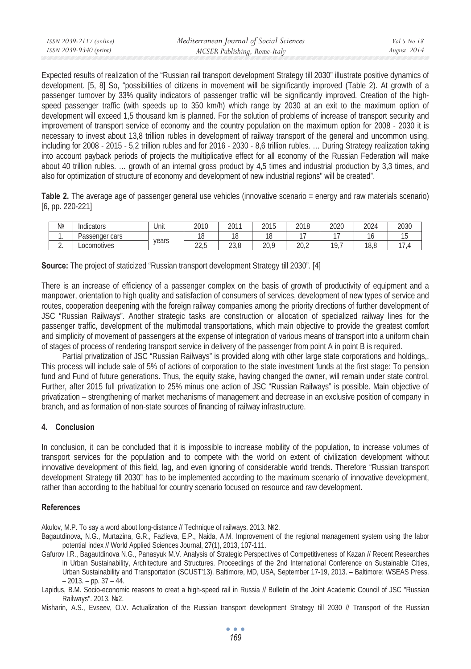| ISSN 2039-2117 (online) | Mediterranean Journal of Social Sciences | Vol 5 No 18 |
|-------------------------|------------------------------------------|-------------|
| ISSN 2039-9340 (print)  | MCSER Publishing, Rome-Italy             | August 2014 |

Expected results of realization of the "Russian rail transport development Strategy till 2030" illustrate positive dynamics of development. [5, 8] So, "possibilities of citizens in movement will be significantly improved (Table 2). At growth of a passenger turnover by 33% quality indicators of passenger traffic will be significantly improved. Creation of the highspeed passenger traffic (with speeds up to 350 km/h) which range by 2030 at an exit to the maximum option of development will exceed 1,5 thousand km is planned. For the solution of problems of increase of transport security and improvement of transport service of economy and the country population on the maximum option for 2008 - 2030 it is necessary to invest about 13,8 trillion rubles in development of railway transport of the general and uncommon using, including for 2008 - 2015 - 5,2 trillion rubles and for 2016 - 2030 - 8,6 trillion rubles. … During Strategy realization taking into account payback periods of projects the multiplicative effect for all economy of the Russian Federation will make about 40 trillion rubles. … growth of an internal gross product by 4,5 times and industrial production by 3,3 times, and also for optimization of structure of economy and development of new industrial regions" will be created".

**Table 2.** The average age of passenger general use vehicles (innovative scenario = energy and raw materials scenario) [6, pp. 220-221]

| N <sub>2</sub> | Indicators        | Unit  | 2010                                          | 2011        | 2015      | 2018         | 2020     | 2024      | 2030 |
|----------------|-------------------|-------|-----------------------------------------------|-------------|-----------|--------------|----------|-----------|------|
|                | cars<br>Passenger | vears | $\sim$ $\sim$                                 | 10<br>۰Ö    | 10<br>, O | -            | . .      | . U       | ັ    |
| -<br><u>.</u>  | Locomotives       |       | $\sim$<br>$\overline{\phantom{a}}$<br>ں ، ے ۔ | ാററ<br>20.O | 20.9      | າດ າ<br>ZU.Z | --<br>10 | 10<br>O.O | $-$  |

**Source:** The project of staticized "Russian transport development Strategy till 2030". [4]

There is an increase of efficiency of a passenger complex on the basis of growth of productivity of equipment and a manpower, orientation to high quality and satisfaction of consumers of services, development of new types of service and routes, cooperation deepening with the foreign railway companies among the priority directions of further development of JSC "Russian Railways". Another strategic tasks are construction or allocation of specialized railway lines for the passenger traffic, development of the multimodal transportations, which main objective to provide the greatest comfort and simplicity of movement of passengers at the expense of integration of various means of transport into a uniform chain of stages of process of rendering transport service in delivery of the passenger from point A in point B is required.

Partial privatization of JSC "Russian Railways" is provided along with other large state corporations and holdings,. This process will include sale of 5% of actions of corporation to the state investment funds at the first stage: To pension fund and Fund of future generations. Thus, the equity stake, having changed the owner, will remain under state control. Further, after 2015 full privatization to 25% minus one action of JSC "Russian Railways" is possible. Main objective of privatization – strengthening of market mechanisms of management and decrease in an exclusive position of company in branch, and as formation of non-state sources of financing of railway infrastructure.

### **4. Conclusion**

In conclusion, it can be concluded that it is impossible to increase mobility of the population, to increase volumes of transport services for the population and to compete with the world on extent of civilization development without innovative development of this field, lag, and even ignoring of considerable world trends. Therefore "Russian transport development Strategy till 2030" has to be implemented according to the maximum scenario of innovative development, rather than according to the habitual for country scenario focused on resource and raw development.

#### **References**

Akulov, M.P. To say a word about long-distance // Technique of railways. 2013. №2.

- Bagautdinova, N.G., Murtazina, G.R., Fazlieva, E.P., Naida, A.M. Improvement of the regional management system using the labor potential index // World Applied Sciences Journal, 27(1), 2013, 107-111.
- Gafurov I.R., Bagautdinova N.G., Panasyuk M.V. Analysis of Strategic Perspectives of Competitiveness of Kazan // Recent Researches in Urban Sustainability, Architecture and Structures. Proceedings of the 2nd International Conference on Sustainable Cities, Urban Sustainability and Transportation (SCUST'13). Baltimore, MD, USA, September 17-19, 2013. – Baltimore: WSEAS Press.  $-2013. - pp. 37 - 44.$

Lapidus, B.M. Socio-economic reasons to creat a high-speed rail in Russia // Bulletin of the Joint Academic Council of JSC "Russian Railways". 2013. No2.

Misharin, A.S., Evseev, O.V. Actualization of the Russian transport development Strategy till 2030 // Transport of the Russian